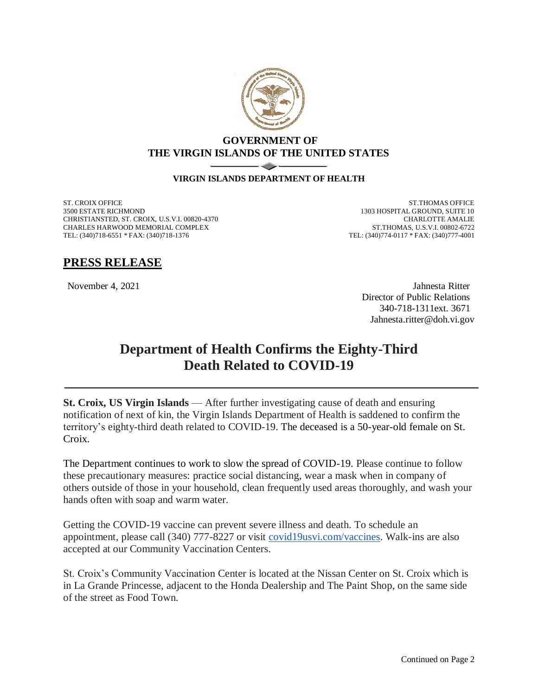

## **GOVERNMENT OF THE VIRGIN ISLANDS OF THE UNITED STATES**

## **VIRGIN ISLANDS DEPARTMENT OF HEALTH**

ST. CROIX OFFICE 3500 ESTATE RICHMOND CHRISTIANSTED, ST. CROIX, U.S.V.I. 00820-4370 CHARLES HARWOOD MEMORIAL COMPLEX TEL: (340)718-6551 \* FAX: (340)718-1376

ST.THOMAS OFFICE 1303 HOSPITAL GROUND, SUITE 10 CHARLOTTE AMALIE ST.THOMAS, U.S.V.I. 00802-6722 TEL: (340)774-0117 \* FAX: (340)777-4001

## **PRESS RELEASE**

November 4, 2021 Jahnesta Ritter Director of Public Relations 340-718-1311ext. 3671 Jahnesta.ritter@doh.vi.gov

## **Department of Health Confirms the Eighty-Third Death Related to COVID-19**

**St. Croix, US Virgin Islands** — After further investigating cause of death and ensuring notification of next of kin, the Virgin Islands Department of Health is saddened to confirm the territory's eighty-third death related to COVID-19. The deceased is a 50-year-old female on St. Croix.

The Department continues to work to slow the spread of COVID-19. Please continue to follow these precautionary measures: practice social distancing, wear a mask when in company of others outside of those in your household, clean frequently used areas thoroughly, and wash your hands often with soap and warm water.

Getting the COVID-19 vaccine can prevent severe illness and death. To schedule an appointment, please call (340) 777-8227 or visit [covid19usvi.com/vaccines.](http://covid19usvi.com/vaccines) Walk-ins are also accepted at our Community Vaccination Centers.

St. Croix's Community Vaccination Center is located at the Nissan Center on St. Croix which is in La Grande Princesse, adjacent to the Honda Dealership and The Paint Shop, on the same side of the street as Food Town.